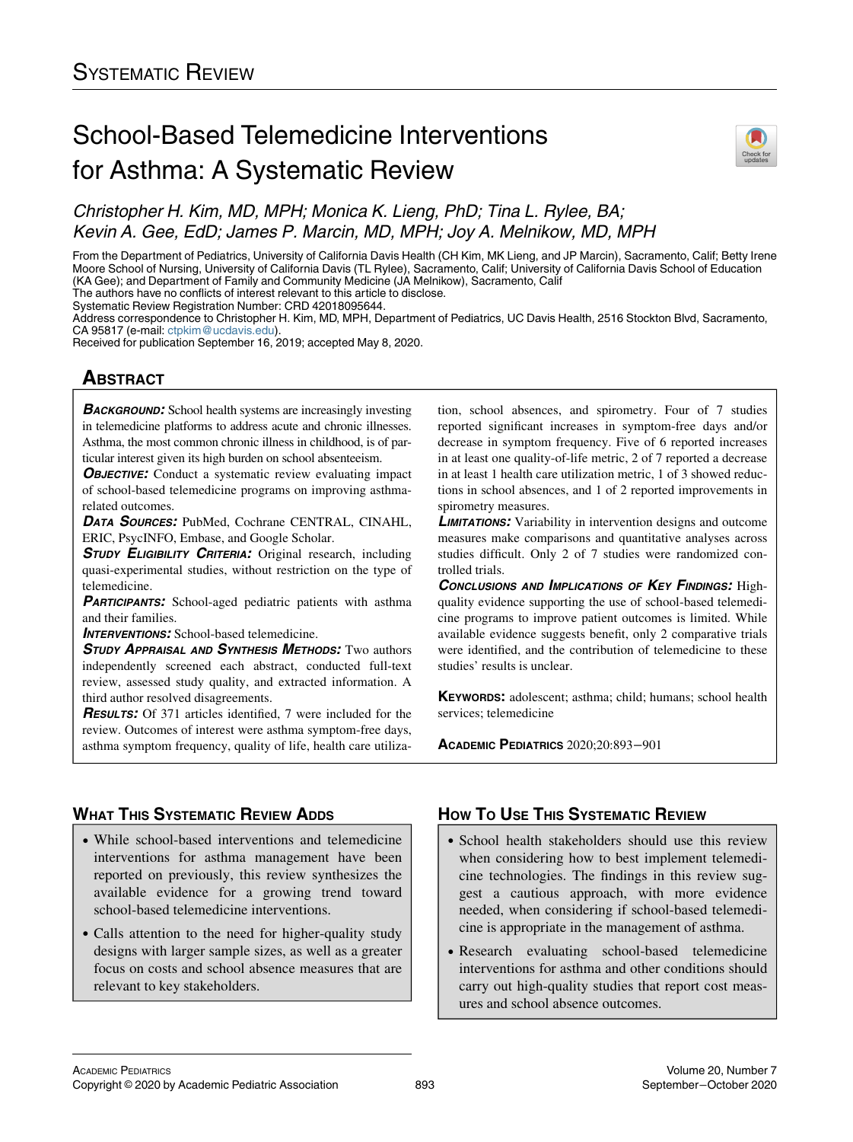# School-Based Telemedicine Interventions for Asthma: A Systematic Review



Christopher H. Kim, MD, MPH; Monica K. Lieng, PhD; Tina L. Rylee, BA; Kevin A. Gee, EdD; James P. Marcin, MD, MPH; Joy A. Melnikow, MD, MPH

From the Department of Pediatrics, University of California Davis Health (CH Kim, MK Lieng, and JP Marcin), Sacramento, Calif; Betty Irene Moore School of Nursing, University of California Davis (TL Rylee), Sacramento, Calif; University of California Davis School of Education (KA Gee); and Department of Family and Community Medicine (JA Melnikow), Sacramento, Calif The authors have no conflicts of interest relevant to this article to disclose.

Systematic Review Registration Number: CRD 42018095644.

Address correspondence to Christopher H. Kim, MD, MPH, Department of Pediatrics, UC Davis Health, 2516 Stockton Blvd, Sacramento, CA 95817 (e-mail: [ctpkim@ucdavis.edu](mailto:ctpkim@ucdavis.edu)).

Received for publication September 16, 2019; accepted May 8, 2020.

# <u>ABSTRACT</u><br>A

**BACKGROUND:** School health systems are increasingly investing in telemedicine platforms to address acute and chronic illnesses. Asthma, the most common chronic illness in childhood, is of particular interest given its high burden on school absenteeism.

**OBJECTIVE:** Conduct a systematic review evaluating impact of school-based telemedicine programs on improving asthmarelated outcomes.

DATA SOURCES: PubMed, Cochrane CENTRAL, CINAHL, ERIC, PsycINFO, Embase, and Google Scholar.

STUDY ELIGIBILITY CRITERIA: Original research, including quasi-experimental studies, without restriction on the type of telemedicine.

PARTICIPANTS: School-aged pediatric patients with asthma and their families.

**INTERVENTIONS:** School-based telemedicine.

STUDY APPRAISAL AND SYNTHESIS METHODS: Two authors independently screened each abstract, conducted full-text review, assessed study quality, and extracted information. A third author resolved disagreements.

RESULTS: Of 371 articles identified, 7 were included for the review. Outcomes of interest were asthma symptom-free days, asthma symptom frequency, quality of life, health care utilization, school absences, and spirometry. Four of 7 studies reported significant increases in symptom-free days and/or decrease in symptom frequency. Five of 6 reported increases in at least one quality-of-life metric, 2 of 7 reported a decrease in at least 1 health care utilization metric, 1 of 3 showed reductions in school absences, and 1 of 2 reported improvements in spirometry measures.

**LIMITATIONS:** Variability in intervention designs and outcome measures make comparisons and quantitative analyses across studies difficult. Only 2 of 7 studies were randomized controlled trials.

CONCLUSIONS AND IMPLICATIONS OF KEY FINDINGS: Highquality evidence supporting the use of school-based telemedicine programs to improve patient outcomes is limited. While available evidence suggests benefit, only 2 comparative trials were identified, and the contribution of telemedicine to these studies' results is unclear.

KEYWORDS: adolescent; asthma; child; humans; school health services; telemedicine

ACADEMIC PEDIATRICS 2020;20:893−<sup>901</sup>

# **WHAT THIS SYSTEMATIC REVIEW ADDS**

- WHAT THIS SYSTEMATIC REVIEW ADDITION While school-based interventions and telemedicine interventions for asthma management have been reported on previously, this review synthesizes the available evidence for a growing trend toward school-based telemedicine interventions.
- Calls attention to the need for higher-quality study designs with larger sample sizes, as well as a greater focus on costs and school absence measures that are relevant to key stakeholders.

# **HOW TO USE THIS SYSTEMATIC REVIEW**

- $\frac{1}{\sqrt{1-\frac{1}{\sqrt{1-\frac{1}{\sqrt{1-\frac{1}{\sqrt{1-\frac{1}{\sqrt{1-\frac{1}{\sqrt{1-\frac{1}{\sqrt{1-\frac{1}{\sqrt{1-\frac{1}{\sqrt{1-\frac{1}{\sqrt{1-\frac{1}{\sqrt{1-\frac{1}{\sqrt{1-\frac{1}{\sqrt{1-\frac{1}{\sqrt{1-\frac{1}{\sqrt{1-\frac{1}{\sqrt{1-\frac{1}{\sqrt{1-\frac{1}{\sqrt{1-\frac{1}{\sqrt{1-\frac{1}{\sqrt{1-\frac{1}{\sqrt{1-\frac{1}{\sqrt{1-\frac{1}{\sqrt{1-\frac{1}{\sqrt{1-\frac{1$  School health stakeholders should use this review when considering how to best implement telemedicine technologies. The findings in this review suggest a cautious approach, with more evidence needed, when considering if school-based telemedicine is appropriate in the management of asthma.
	- Research evaluating school-based telemedicine interventions for asthma and other conditions should carry out high-quality studies that report cost measures and school absence outcomes.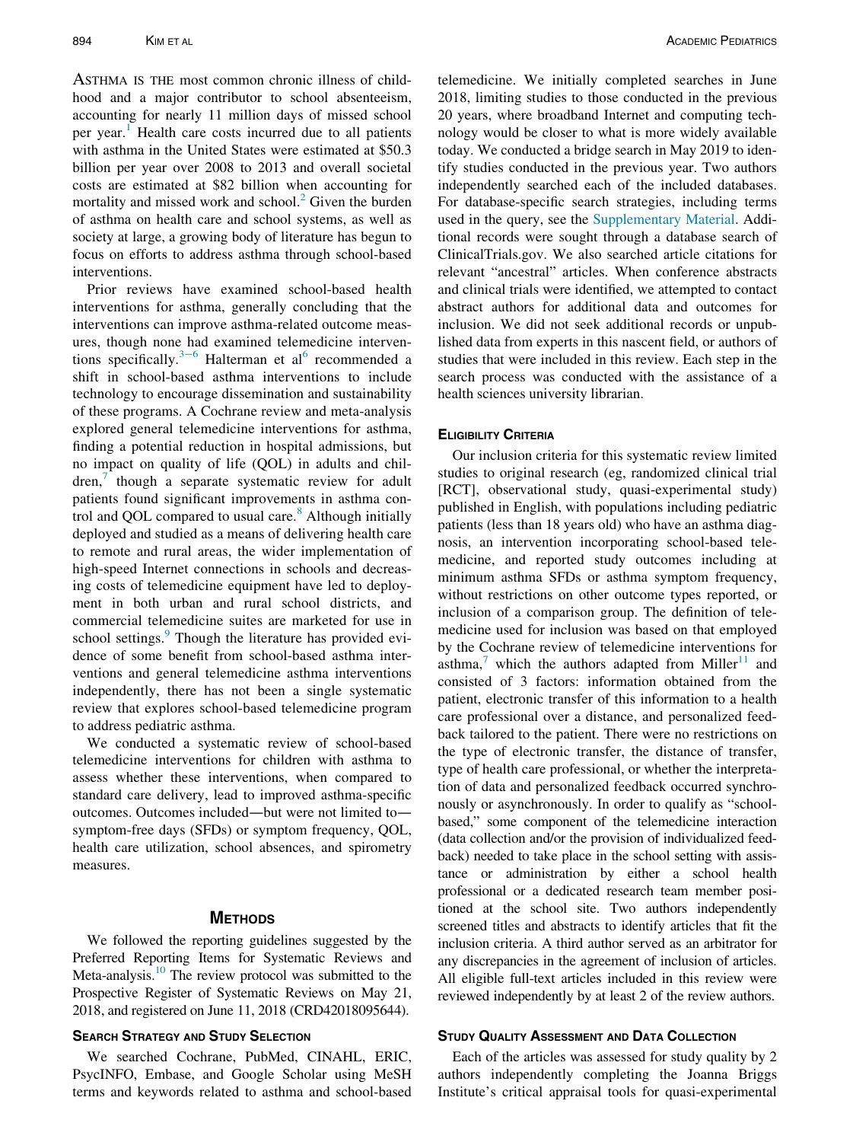ASTHMA IS THE most common chronic illness of childhood and a major contributor to school absenteeism, accounting for nearly 11 million days of missed school per year.<sup>[1](#page-7-0)</sup> Health care costs incurred due to all patients with asthma in the United States were estimated at \$50.3 billion per year over 2008 to 2013 and overall societal costs are estimated at \$82 billion when accounting for mortality and missed work and school. $<sup>2</sup>$  $<sup>2</sup>$  $<sup>2</sup>$  Given the burden</sup> of asthma on health care and school systems, as well as society at large, a growing body of literature has begun to focus on efforts to address asthma through school-based interventions.

Prior reviews have examined school-based health interventions for asthma, generally concluding that the interventions can improve asthma-related outcome measures, though none had examined telemedicine interven-tions specifically.<sup>3[−](#page-7-2)[6](#page-8-0)</sup> Halterman et al<sup>6</sup> recommended a shift in school-based asthma interventions to include technology to encourage dissemination and sustainability of these programs. A Cochrane review and meta-analysis explored general telemedicine interventions for asthma, finding a potential reduction in hospital admissions, but no impact on quality of life (QOL) in adults and chil $dren$ , though a separate systematic review for adult patients found significant improvements in asthma control and QOL compared to usual care. $8$  Although initially deployed and studied as a means of delivering health care to remote and rural areas, the wider implementation of high-speed Internet connections in schools and decreasing costs of telemedicine equipment have led to deployment in both urban and rural school districts, and commercial telemedicine suites are marketed for use in school settings.<sup>[9](#page-8-3)</sup> Though the literature has provided evidence of some benefit from school-based asthma interventions and general telemedicine asthma interventions independently, there has not been a single systematic review that explores school-based telemedicine program to address pediatric asthma.

We conducted a systematic review of school-based telemedicine interventions for children with asthma to assess whether these interventions, when compared to standard care delivery, lead to improved asthma-specific outcomes. Outcomes included—but were not limited to symptom-free days (SFDs) or symptom frequency, QOL, health care utilization, school absences, and spirometry measures.

We followed the reporting guidelines suggested by the Preferred Reporting Items for Systematic Reviews and Meta-analysis.<sup>10</sup> The review protocol was submitted to the Prospective Register of Systematic Reviews on May 21, 2018, and registered on June 11, 2018 (CRD42018095644).

We searched Cochrane, PubMed, CINAHL, ERIC, PsycINFO, Embase, and Google Scholar using MeSH terms and keywords related to asthma and school-based telemedicine. We initially completed searches in June 2018, limiting studies to those conducted in the previous 20 years, where broadband Internet and computing technology would be closer to what is more widely available today. We conducted a bridge search in May 2019 to identify studies conducted in the previous year. Two authors independently searched each of the included databases. For database-specific search strategies, including terms used in the query, see the [Supplementary Material](#page-7-3). Additional records were sought through a database search of ClinicalTrials.gov. We also searched article citations for relevant "ancestral" articles. When conference abstracts and clinical trials were identified, we attempted to contact abstract authors for additional data and outcomes for inclusion. We did not seek additional records or unpublished data from experts in this nascent field, or authors of studies that were included in this review. Each step in the search process was conducted with the assistance of a health sciences university librarian.

### **ELIGIBILITY CRITERIA**

**ELIGERTY CRITERIA** studies to original research (eg, randomized clinical trial [RCT], observational study, quasi-experimental study) published in English, with populations including pediatric patients (less than 18 years old) who have an asthma diagnosis, an intervention incorporating school-based telemedicine, and reported study outcomes including at minimum asthma SFDs or asthma symptom frequency, without restrictions on other outcome types reported, or inclusion of a comparison group. The definition of telemedicine used for inclusion was based on that employed by the Cochrane review of telemedicine interventions for asthma, $\frac{7}{1}$  $\frac{7}{1}$  $\frac{7}{1}$  which the authors adapted from Miller<sup>[11](#page-8-5)</sup> and consisted of 3 factors: information obtained from the patient, electronic transfer of this information to a health care professional over a distance, and personalized feedback tailored to the patient. There were no restrictions on the type of electronic transfer, the distance of transfer, type of health care professional, or whether the interpretation of data and personalized feedback occurred synchronously or asynchronously. In order to qualify as "schoolbased," some component of the telemedicine interaction (data collection and/or the provision of individualized feedback) needed to take place in the school setting with assistance or administration by either a school health professional or a dedicated research team member positioned at the school site. Two authors independently screened titles and abstracts to identify articles that fit the inclusion criteria. A third author served as an arbitrator for any discrepancies in the agreement of inclusion of articles. All eligible full-text articles included in this review were reviewed independently by at least 2 of the review authors.

Each of the articles was assessed for study quality by 2 authors independently completing the Joanna Briggs Institute's critical appraisal tools for quasi-experimental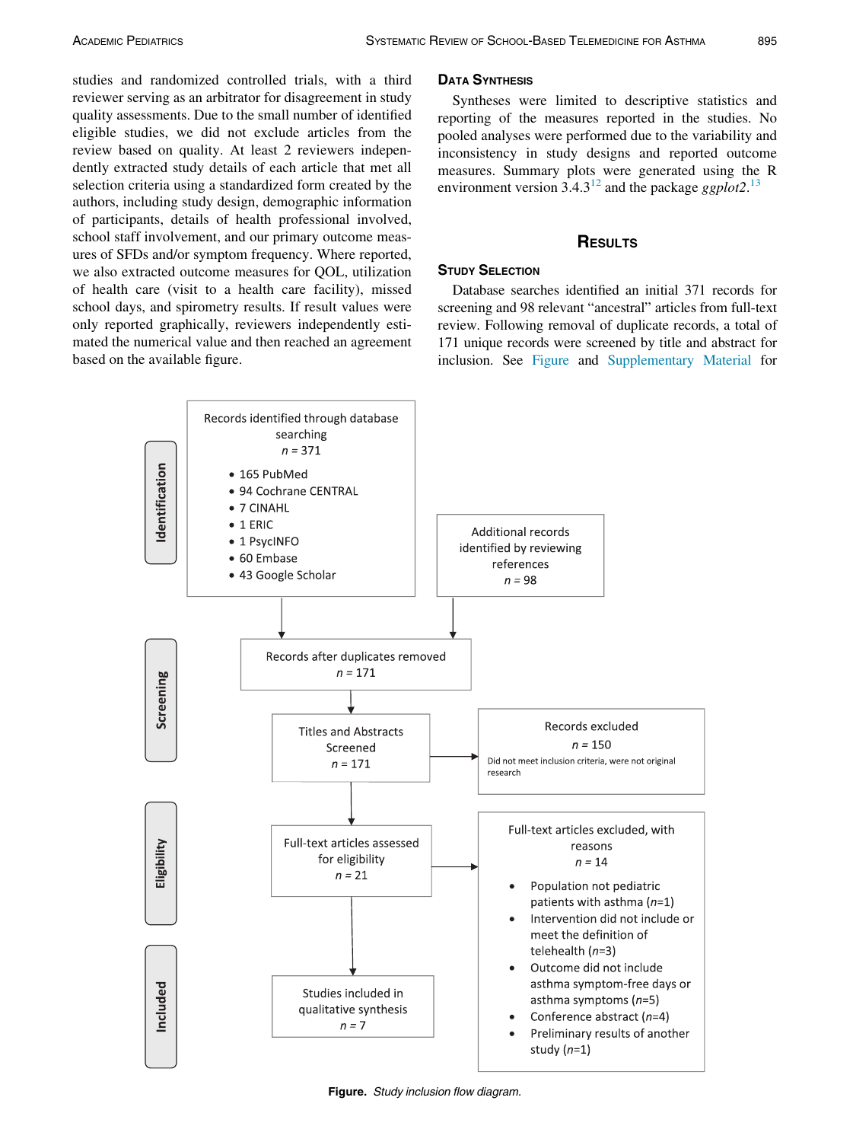studies and randomized controlled trials, with a third reviewer serving as an arbitrator for disagreement in study quality assessments. Due to the small number of identified eligible studies, we did not exclude articles from the review based on quality. At least 2 reviewers independently extracted study details of each article that met all selection criteria using a standardized form created by the authors, including study design, demographic information of participants, details of health professional involved, school staff involvement, and our primary outcome measures of SFDs and/or symptom frequency. Where reported, we also extracted outcome measures for QOL, utilization of health care (visit to a health care facility), missed school days, and spirometry results. If result values were only reported graphically, reviewers independently estimated the numerical value and then reached an agreement based on the available figure.

Syntheses were limited to descriptive statistics and reporting of the measures reported in the studies. No pooled analyses were performed due to the variability and inconsistency in study designs and reported outcome measures. Summary plots were generated using the R environment version  $3.4.3^{12}$  $3.4.3^{12}$  $3.4.3^{12}$  and the package ggplot2.<sup>[13](#page-8-7)</sup>

# RESULTS

# **STUDY SELECTION**

Database searches identified an initial 371 records for screening and 98 relevant "ancestral" articles from full-text review. Following removal of duplicate records, a total of 171 unique records were screened by title and abstract for inclusion. See [Figure](#page-2-0) and [Supplementary Material](#page-7-3) for

<span id="page-2-0"></span>

Figure. Study inclusion flow diagram.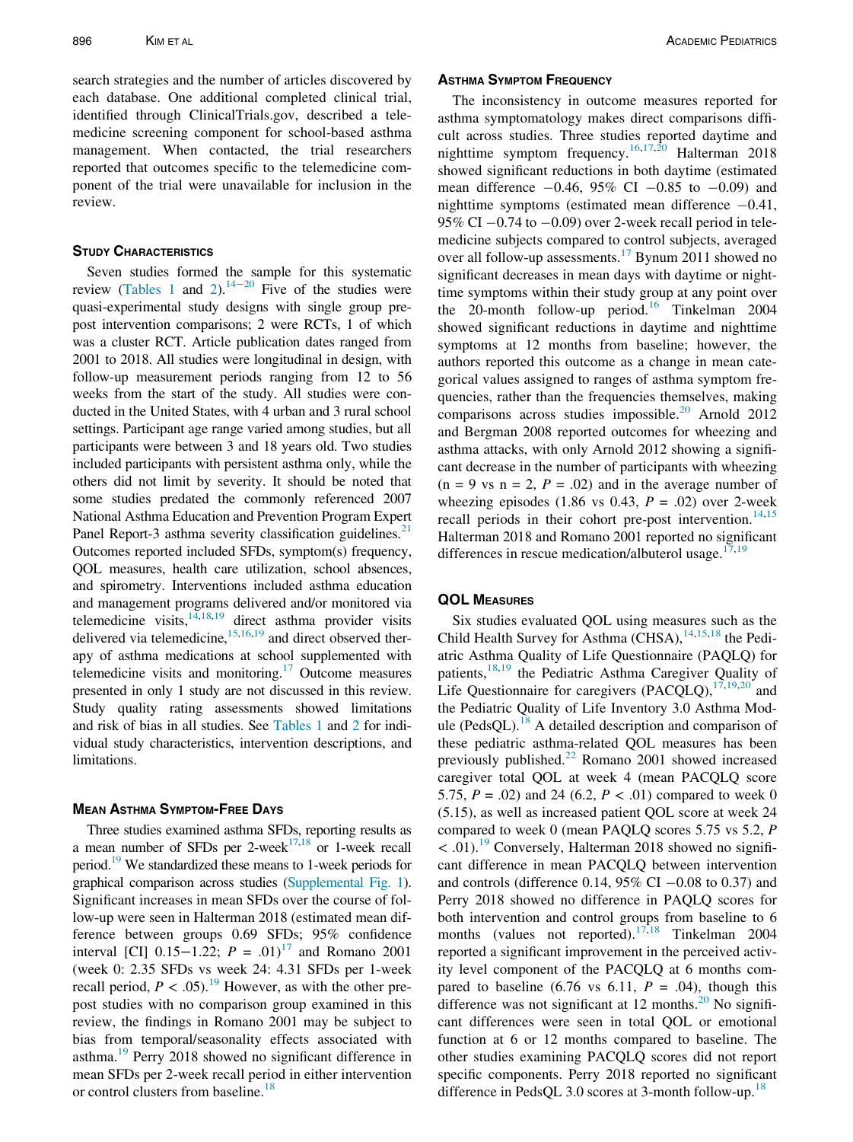search strategies and the number of articles discovered by each database. One additional completed clinical trial, identified through ClinicalTrials.gov, described a telemedicine screening component for school-based asthma management. When contacted, the trial researchers reported that outcomes specific to the telemedicine component of the trial were unavailable for inclusion in the review.

Seven studies formed the sample for this systematic review [\(Tables 1](#page-4-0) and [2](#page-5-0)).<sup>[14](#page-8-8)−20</sup> Five of the studies were quasi-experimental study designs with single group prepost intervention comparisons; 2 were RCTs, 1 of which was a cluster RCT. Article publication dates ranged from 2001 to 2018. All studies were longitudinal in design, with follow-up measurement periods ranging from 12 to 56 weeks from the start of the study. All studies were conducted in the United States, with 4 urban and 3 rural school settings. Participant age range varied among studies, but all participants were between 3 and 18 years old. Two studies included participants with persistent asthma only, while the others did not limit by severity. It should be noted that some studies predated the commonly referenced 2007 National Asthma Education and Prevention Program Expert Panel Report-3 asthma severity classification guidelines. $21$ Outcomes reported included SFDs, symptom(s) frequency, QOL measures, health care utilization, school absences, and spirometry. Interventions included asthma education and management programs delivered and/or monitored via telemedicine visits, $14,18,19$  $14,18,19$  $14,18,19$  direct asthma provider visits delivered via telemedicine,  $15,16,19$  $15,16,19$  $15,16,19$  $15,16,19$  and direct observed therapy of asthma medications at school supplemented with telemedicine visits and monitoring.[17](#page-8-14) Outcome measures presented in only 1 study are not discussed in this review. Study quality rating assessments showed limitations and risk of bias in all studies. See [Tables 1](#page-4-0) and [2](#page-5-0) for individual study characteristics, intervention descriptions, and limitations.

Three studies examined asthma SFDs, reporting results as a mean number of SFDs per 2-week $17,18$  $17,18$  or 1-week recall period[.19](#page-8-11) We standardized these means to 1-week periods for graphical comparison across studies [\(Supplemental Fig. 1\)](#page-7-3). Significant increases in mean SFDs over the course of follow-up were seen in Halterman 2018 (estimated mean difference between groups 0.69 SFDs; 95% confidence interval [CI]  $0.15-1.22$ ;  $P = .01$ <sup>[17](#page-8-14)</sup> and Romano 2001 (week 0: 2.35 SFDs vs week 24: 4.31 SFDs per 1-week recall period,  $P < .05$ .<sup>19</sup> However, as with the other prepost studies with no comparison group examined in this review, the findings in Romano 2001 may be subject to bias from temporal/seasonality effects associated with asthma.<sup>[19](#page-8-11)</sup> Perry 2018 showed no significant difference in mean SFDs per 2-week recall period in either intervention or control clusters from baseline.<sup>[18](#page-8-10)</sup>

The inconsistency in outcome measures reported for asthma symptomatology makes direct comparisons difficult across studies. Three studies reported daytime and nighttime symptom frequency.[16,](#page-8-13)[17](#page-8-14)[,20](#page-8-15) Halterman 2018 showed significant reductions in both daytime (estimated mean difference  $-0.46$ , 95% CI  $-0.85$  to  $-0.09$ ) and nighttime symptoms (estimated mean difference  $-0.41$ , 95% CI  $-0.74$  to  $-0.09$ ) over 2-week recall period in telemedicine subjects compared to control subjects, averaged over all follow-up assessments.<sup>[17](#page-8-14)</sup> Bynum 2011 showed no significant decreases in mean days with daytime or nighttime symptoms within their study group at any point over the 20-month follow-up period.<sup>[16](#page-8-13)</sup> Tinkelman 2004 showed significant reductions in daytime and nighttime symptoms at 12 months from baseline; however, the authors reported this outcome as a change in mean categorical values assigned to ranges of asthma symptom frequencies, rather than the frequencies themselves, making comparisons across studies impossible.<sup>[20](#page-8-15)</sup> Arnold 2012 and Bergman 2008 reported outcomes for wheezing and asthma attacks, with only Arnold 2012 showing a significant decrease in the number of participants with wheezing  $(n = 9 \text{ vs } n = 2, P = .02)$  and in the average number of wheezing episodes (1.86 vs 0.43,  $P = .02$ ) over 2-week recall periods in their cohort pre-post intervention.<sup>[14,](#page-8-8)[15](#page-8-12)</sup> Halterman 2018 and Romano 2001 reported no significant differences in rescue medication/albuterol usage. $17,19$  $17,19$ 

Six studies evaluated QOL using measures such as the Child Health Survey for Asthma (CHSA), $14,15,18$  $14,15,18$  $14,15,18$  the Pediatric Asthma Quality of Life Questionnaire (PAQLQ) for patients,<sup>[18](#page-8-10)[,19](#page-8-11)</sup> the Pediatric Asthma Caregiver Quality of Life Questionnaire for caregivers  $(PACQLQ)$ ,  $^{17,19,20}$  $^{17,19,20}$  $^{17,19,20}$  $^{17,19,20}$  $^{17,19,20}$  and the Pediatric Quality of Life Inventory 3.0 Asthma Mod-ule (PedsQL).<sup>[18](#page-8-10)</sup> A detailed description and comparison of these pediatric asthma-related QOL measures has been previously published. $^{22}$  $^{22}$  $^{22}$  Romano 2001 showed increased caregiver total QOL at week 4 (mean PACQLQ score 5.75,  $P = .02$ ) and 24 (6.2,  $P < .01$ ) compared to week 0 (5.15), as well as increased patient QOL score at week 24 compared to week 0 (mean PAQLQ scores 5.75 vs 5.2, P  $<$  .01).<sup>19</sup> Conversely, Halterman 2018 showed no significant difference in mean PACQLQ between intervention and controls (difference 0.14, 95% CI  $-0.08$  to 0.37) and Perry 2018 showed no difference in PAQLQ scores for both intervention and control groups from baseline to 6 months (values not reported).<sup>[17](#page-8-14)[,18](#page-8-10)</sup> Tinkelman 2004 reported a significant improvement in the perceived activity level component of the PACQLQ at 6 months compared to baseline (6.76 vs 6.11,  $P = .04$ ), though this difference was not significant at 12 months. $^{20}$  $^{20}$  $^{20}$  No significant differences were seen in total QOL or emotional function at 6 or 12 months compared to baseline. The other studies examining PACQLQ scores did not report specific components. Perry 2018 reported no significant difference in PedsQL 3.0 scores at 3-month follow-up.<sup>[18](#page-8-10)</sup>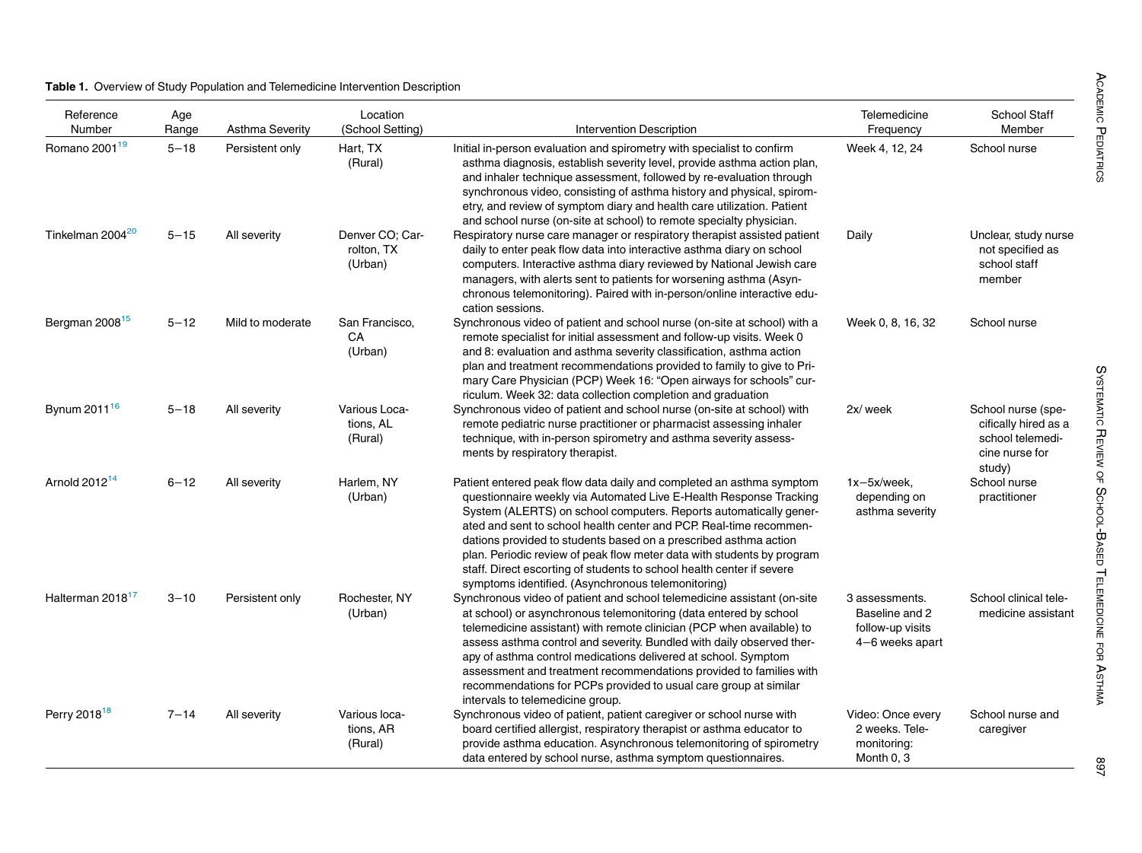### <span id="page-4-0"></span>Table 1. Overview of Study Population and Telemedicine Intervention Description

| Reference<br>Number          | Age<br>Range | <b>Asthma Severity</b> | Location<br>(School Setting)             | Intervention Description                                                                                                                                                                                                                                                                                                                                                                                                                                                                                                                                           | Telemedicine<br>Frequency                                               | <b>School Staff</b><br>Member                                                              |
|------------------------------|--------------|------------------------|------------------------------------------|--------------------------------------------------------------------------------------------------------------------------------------------------------------------------------------------------------------------------------------------------------------------------------------------------------------------------------------------------------------------------------------------------------------------------------------------------------------------------------------------------------------------------------------------------------------------|-------------------------------------------------------------------------|--------------------------------------------------------------------------------------------|
| Romano 2001 <sup>19</sup>    | $5 - 18$     | Persistent only        | Hart, TX<br>(Rural)                      | Initial in-person evaluation and spirometry with specialist to confirm<br>asthma diagnosis, establish severity level, provide asthma action plan,<br>and inhaler technique assessment, followed by re-evaluation through<br>synchronous video, consisting of asthma history and physical, spirom-<br>etry, and review of symptom diary and health care utilization. Patient<br>and school nurse (on-site at school) to remote specialty physician.                                                                                                                 | Week 4, 12, 24                                                          | School nurse                                                                               |
| Tinkelman 2004 <sup>20</sup> | $5 - 15$     | All severity           | Denver CO; Car-<br>rolton, TX<br>(Urban) | Respiratory nurse care manager or respiratory therapist assisted patient<br>daily to enter peak flow data into interactive asthma diary on school<br>computers. Interactive asthma diary reviewed by National Jewish care<br>managers, with alerts sent to patients for worsening asthma (Asyn-<br>chronous telemonitoring). Paired with in-person/online interactive edu-<br>cation sessions.                                                                                                                                                                     | Daily                                                                   | Unclear, study nurse<br>not specified as<br>school staff<br>member                         |
| Bergman 2008 <sup>15</sup>   | $5 - 12$     | Mild to moderate       | San Francisco,<br>CA<br>(Urban)          | Synchronous video of patient and school nurse (on-site at school) with a<br>remote specialist for initial assessment and follow-up visits. Week 0<br>and 8: evaluation and asthma severity classification, asthma action<br>plan and treatment recommendations provided to family to give to Pri-<br>mary Care Physician (PCP) Week 16: "Open airways for schools" cur-<br>riculum. Week 32: data collection completion and graduation                                                                                                                             | Week 0, 8, 16, 32                                                       | School nurse                                                                               |
| Bynum 2011 <sup>16</sup>     | $5 - 18$     | All severity           | Various Loca-<br>tions, AL<br>(Rural)    | Synchronous video of patient and school nurse (on-site at school) with<br>remote pediatric nurse practitioner or pharmacist assessing inhaler<br>technique, with in-person spirometry and asthma severity assess-<br>ments by respiratory therapist.                                                                                                                                                                                                                                                                                                               | 2x/ week                                                                | School nurse (spe-<br>cifically hired as a<br>school telemedi-<br>cine nurse for<br>study) |
| Arnold 2012 <sup>14</sup>    | $6 - 12$     | All severity           | Harlem, NY<br>(Urban)                    | Patient entered peak flow data daily and completed an asthma symptom<br>questionnaire weekly via Automated Live E-Health Response Tracking<br>System (ALERTS) on school computers. Reports automatically gener-<br>ated and sent to school health center and PCP. Real-time recommen-<br>dations provided to students based on a prescribed asthma action<br>plan. Periodic review of peak flow meter data with students by program<br>staff. Direct escorting of students to school health center if severe<br>symptoms identified. (Asynchronous telemonitoring) | $1x-5x/$ week,<br>depending on<br>asthma severity                       | School nurse<br>practitioner                                                               |
| Halterman 2018 <sup>17</sup> | $3 - 10$     | Persistent only        | Rochester, NY<br>(Urban)                 | Synchronous video of patient and school telemedicine assistant (on-site<br>at school) or asynchronous telemonitoring (data entered by school<br>telemedicine assistant) with remote clinician (PCP when available) to<br>assess asthma control and severity. Bundled with daily observed ther-<br>apy of asthma control medications delivered at school. Symptom<br>assessment and treatment recommendations provided to families with<br>recommendations for PCPs provided to usual care group at similar<br>intervals to telemedicine group.                     | 3 assessments.<br>Baseline and 2<br>follow-up visits<br>4-6 weeks apart | School clinical tele-<br>medicine assistant                                                |
| Perry 2018 <sup>18</sup>     | $7 - 14$     | All severity           | Various loca-<br>tions, AR<br>(Rural)    | Synchronous video of patient, patient caregiver or school nurse with<br>board certified allergist, respiratory therapist or asthma educator to<br>provide asthma education. Asynchronous telemonitoring of spirometry<br>data entered by school nurse, asthma symptom questionnaires.                                                                                                                                                                                                                                                                              | Video: Once every<br>2 weeks. Tele-<br>monitoring:<br>Month 0, 3        | School nurse and<br>caregiver                                                              |

897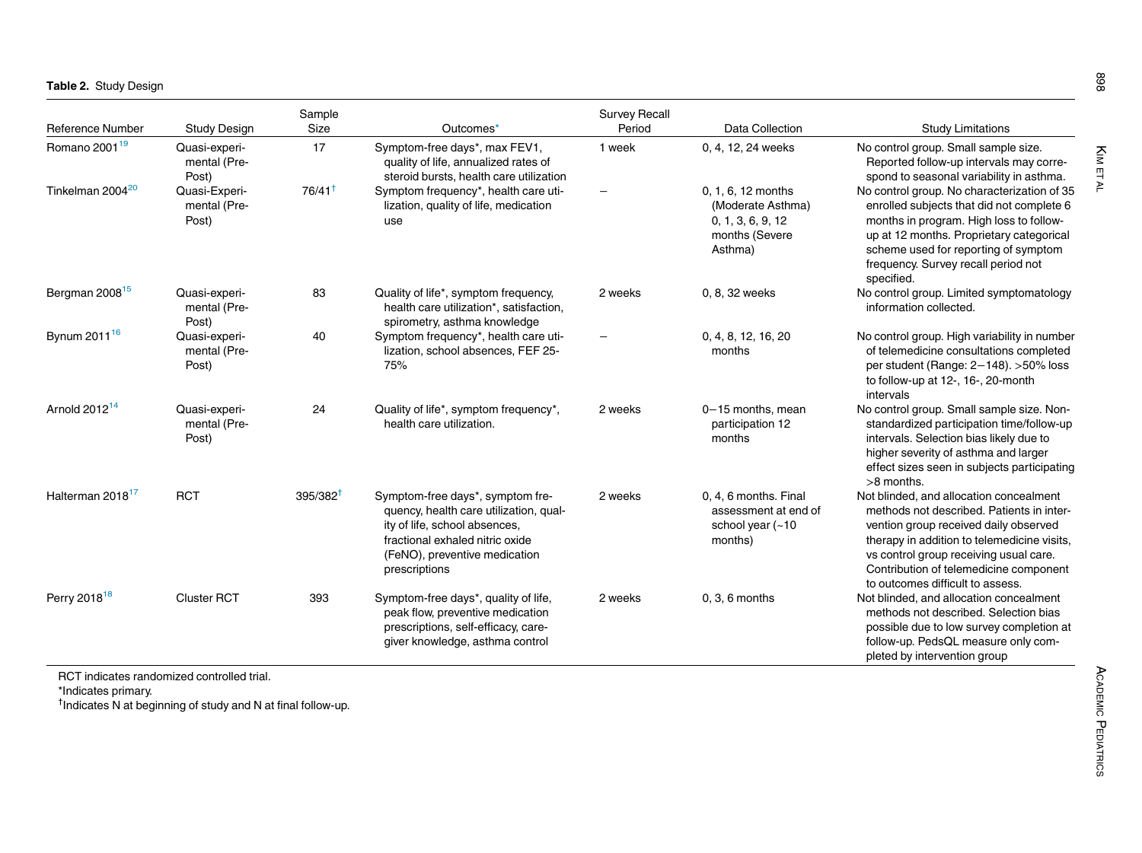<span id="page-5-0"></span>

|                              |                                        | Sample        |                                                                                                                                                                                                  | <b>Survey Recall</b>     |                                                                                           |                                                                                                                                                                                                                                                                                                      |  |
|------------------------------|----------------------------------------|---------------|--------------------------------------------------------------------------------------------------------------------------------------------------------------------------------------------------|--------------------------|-------------------------------------------------------------------------------------------|------------------------------------------------------------------------------------------------------------------------------------------------------------------------------------------------------------------------------------------------------------------------------------------------------|--|
| <b>Reference Number</b>      | <b>Study Design</b>                    | Size          | Outcomes*                                                                                                                                                                                        | Period                   | Data Collection                                                                           | <b>Study Limitations</b>                                                                                                                                                                                                                                                                             |  |
| Romano 2001 <sup>19</sup>    | Quasi-experi-<br>mental (Pre-<br>Post) | 17            | Symptom-free days*, max FEV1,<br>quality of life, annualized rates of<br>steroid bursts, health care utilization                                                                                 | 1 week                   | 0, 4, 12, 24 weeks                                                                        | No control group. Small sample size.<br>Reported follow-up intervals may corre-<br>spond to seasonal variability in asthma.                                                                                                                                                                          |  |
| Tinkelman 2004 <sup>20</sup> | Quasi-Experi-<br>mental (Pre-<br>Post) | $76/41^+$     | Symptom frequency*, health care uti-<br>lization, quality of life, medication<br>use                                                                                                             | $\overline{\phantom{0}}$ | 0, 1, 6, 12 months<br>(Moderate Asthma)<br>0, 1, 3, 6, 9, 12<br>months (Severe<br>Asthma) | No control group. No characterization of 35<br>enrolled subjects that did not complete 6<br>months in program. High loss to follow-<br>up at 12 months. Proprietary categorical<br>scheme used for reporting of symptom<br>frequency. Survey recall period not<br>specified.                         |  |
| Bergman 2008 <sup>15</sup>   | Quasi-experi-<br>mental (Pre-<br>Post) | 83            | Quality of life*, symptom frequency,<br>health care utilization*, satisfaction,<br>spirometry, asthma knowledge                                                                                  | 2 weeks                  | 0, 8, 32 weeks                                                                            | No control group. Limited symptomatology<br>information collected.                                                                                                                                                                                                                                   |  |
| Bynum 2011 <sup>16</sup>     | Quasi-experi-<br>mental (Pre-<br>Post) | 40            | Symptom frequency*, health care uti-<br>lization, school absences, FEF 25-<br>75%                                                                                                                |                          | 0, 4, 8, 12, 16, 20<br>months                                                             | No control group. High variability in number<br>of telemedicine consultations completed<br>per student (Range: $2-148$ ). >50% loss<br>to follow-up at 12-, 16-, 20-month<br>intervals                                                                                                               |  |
| Arnold $2012^{14}$           | Quasi-experi-<br>mental (Pre-<br>Post) | 24            | Quality of life*, symptom frequency*,<br>health care utilization.                                                                                                                                | 2 weeks                  | 0-15 months, mean<br>participation 12<br>months                                           | No control group. Small sample size. Non-<br>standardized participation time/follow-up<br>intervals. Selection bias likely due to<br>higher severity of asthma and larger<br>effect sizes seen in subjects participating<br>$>8$ months.                                                             |  |
| Halterman 2018 <sup>17</sup> | <b>RCT</b>                             | $395/382^{+}$ | Symptom-free days*, symptom fre-<br>quency, health care utilization, qual-<br>ity of life, school absences,<br>fractional exhaled nitric oxide<br>(FeNO), preventive medication<br>prescriptions | 2 weeks                  | 0, 4, 6 months. Final<br>assessment at end of<br>school year $(-10$<br>months)            | Not blinded, and allocation concealment<br>methods not described. Patients in inter-<br>vention group received daily observed<br>therapy in addition to telemedicine visits,<br>vs control group receiving usual care.<br>Contribution of telemedicine component<br>to outcomes difficult to assess. |  |
| Perry 2018 <sup>18</sup>     | <b>Cluster RCT</b>                     | 393           | Symptom-free days*, quality of life,<br>peak flow, preventive medication<br>prescriptions, self-efficacy, care-<br>giver knowledge, asthma control                                               | 2 weeks                  | $0, 3, 6$ months                                                                          | Not blinded, and allocation concealment<br>methods not described. Selection bias<br>possible due to low survey completion at<br>follow-up. PedsQL measure only com-<br>pleted by intervention group                                                                                                  |  |

RCT indicates randomized controlled trial.

\*Indicates primary.

<sup>†</sup>Indicates N at beginning of study and N at final follow-up.

<span id="page-5-1"></span>KIM ET AL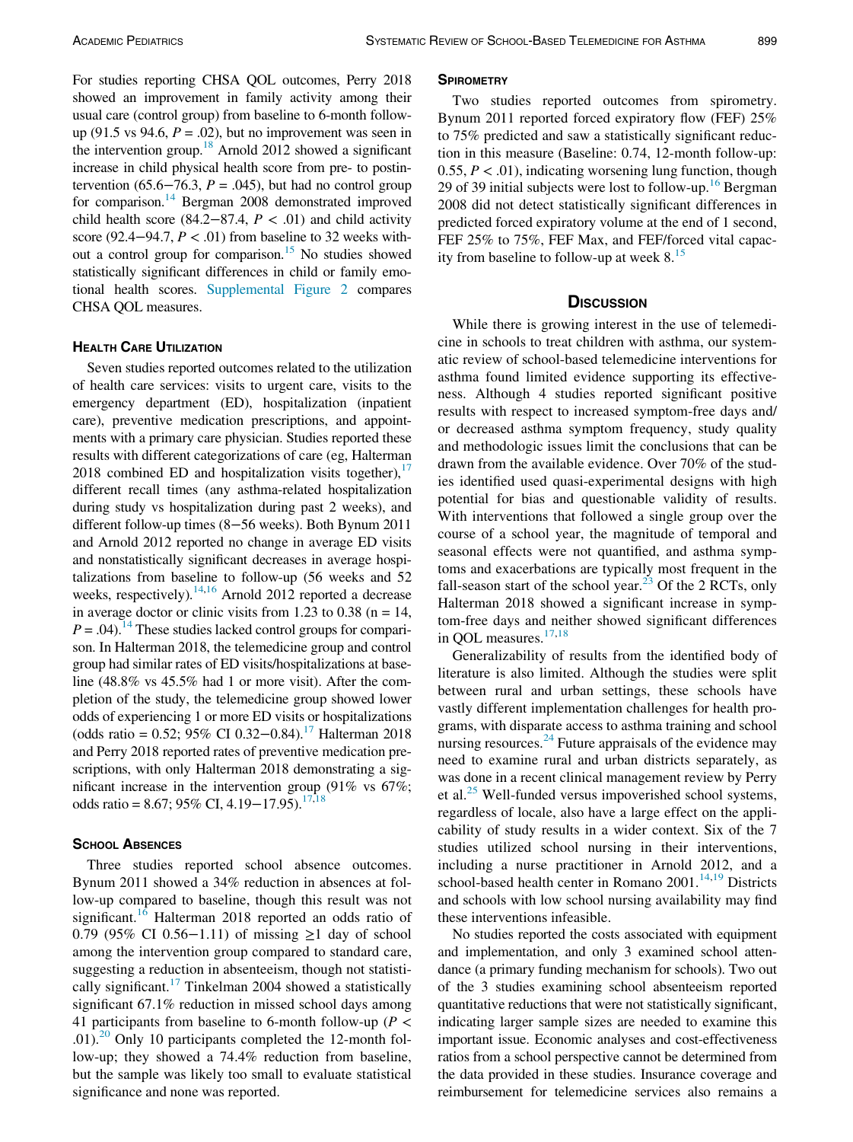For studies reporting CHSA QOL outcomes, Perry 2018 showed an improvement in family activity among their usual care (control group) from baseline to 6-month followup (91.5 vs 94.6,  $P = .02$ ), but no improvement was seen in the intervention group.<sup>18</sup> Arnold 2012 showed a significant increase in child physical health score from pre- to postintervention (65.6–76.3,  $P = .045$ ), but had no control group for comparison.<sup>14</sup> Bergman 2008 demonstrated improved child health score (84.2–87.4,  $P < .01$ ) and child activity score (92.4–94.7,  $P < .01$ ) from baseline to 32 weeks without a control group for comparison.<sup>15</sup> No studies showed statistically significant differences in child or family emotional health scores. [Supplemental Figure 2](#page-7-3) compares CHSA QOL measures.

## **HEALTH CARE UTILIZATION**

Seven studies reported outcomes related to the utilization of health care services: visits to urgent care, visits to the emergency department (ED), hospitalization (inpatient care), preventive medication prescriptions, and appointments with a primary care physician. Studies reported these results with different categorizations of care (eg, Halterman 2018 combined ED and hospitalization visits together), $\frac{1}{2}$ different recall times (any asthma-related hospitalization during study vs hospitalization during past 2 weeks), and different follow-up times (8−56 weeks). Both Bynum 2011 and Arnold 2012 reported no change in average ED visits and nonstatistically significant decreases in average hospitalizations from baseline to follow-up (56 weeks and 52 weeks, respectively).<sup>14[,16](#page-8-13)</sup> Arnold 2012 reported a decrease in average doctor or clinic visits from 1.23 to 0.38 ( $n = 14$ ,  $P = .04$ .<sup>14</sup> These studies lacked control groups for comparison. In Halterman 2018, the telemedicine group and control group had similar rates of ED visits/hospitalizations at baseline (48.8% vs 45.5% had 1 or more visit). After the completion of the study, the telemedicine group showed lower odds of experiencing 1 or more ED visits or hospitalizations (odds ratio = 0.52; 95% CI 0.32–0.84).<sup>17</sup> Halterman 2018 and Perry 2018 reported rates of preventive medication prescriptions, with only Halterman 2018 demonstrating a significant increase in the intervention group (91% vs 67%; odds ratio = 8.67; 95% CI, 4.19–17.95).<sup>17[,18](#page-8-10)</sup>

## **SCHOOL ABSENCES**

Three studies reported school absence outcomes. Bynum 2011 showed a 34% reduction in absences at follow-up compared to baseline, though this result was not significant.<sup>[16](#page-8-13)</sup> Halterman 2018 reported an odds ratio of 0.79 (95% CI 0.56−1.11) of missing ≥1 day of school among the intervention group compared to standard care, suggesting a reduction in absenteeism, though not statisti-cally significant.<sup>[17](#page-8-14)</sup> Tinkelman 2004 showed a statistically significant 67.1% reduction in missed school days among 41 participants from baseline to 6-month follow-up ( $P \lt \theta$ .01).<sup>20</sup> Only 10 participants completed the 12-month follow-up; they showed a 74.4% reduction from baseline, but the sample was likely too small to evaluate statistical significance and none was reported.

Two studies reported outcomes from spirometry. Bynum 2011 reported forced expiratory flow (FEF) 25% to 75% predicted and saw a statistically significant reduction in this measure (Baseline: 0.74, 12-month follow-up: 0.55,  $P < .01$ ), indicating worsening lung function, though 29 of 39 initial subjects were lost to follow-up.<sup>[16](#page-8-13)</sup> Bergman 2008 did not detect statistically significant differences in predicted forced expiratory volume at the end of 1 second, FEF 25% to 75%, FEF Max, and FEF/forced vital capacity from baseline to follow-up at week  $8<sup>15</sup>$  $8<sup>15</sup>$  $8<sup>15</sup>$ 

While there is growing interest in the use of telemedicine in schools to treat children with asthma, our systematic review of school-based telemedicine interventions for asthma found limited evidence supporting its effectiveness. Although 4 studies reported significant positive results with respect to increased symptom-free days and/ or decreased asthma symptom frequency, study quality and methodologic issues limit the conclusions that can be drawn from the available evidence. Over 70% of the studies identified used quasi-experimental designs with high potential for bias and questionable validity of results. With interventions that followed a single group over the course of a school year, the magnitude of temporal and seasonal effects were not quantified, and asthma symptoms and exacerbations are typically most frequent in the fall-season start of the school year.<sup>[23](#page-8-24)</sup> Of the 2 RCTs, only Halterman 2018 showed a significant increase in symptom-free days and neither showed significant differences in QOL measures.<sup>[17,](#page-8-14)[18](#page-8-10)</sup>

Generalizability of results from the identified body of literature is also limited. Although the studies were split between rural and urban settings, these schools have vastly different implementation challenges for health programs, with disparate access to asthma training and school nursing resources. $^{24}$  $^{24}$  $^{24}$  Future appraisals of the evidence may need to examine rural and urban districts separately, as was done in a recent clinical management review by Perry et al. $^{25}$  $^{25}$  $^{25}$  Well-funded versus impoverished school systems, regardless of locale, also have a large effect on the applicability of study results in a wider context. Six of the 7 studies utilized school nursing in their interventions, including a nurse practitioner in Arnold 2012, and a school-based health center in Romano  $2001$ .<sup>[14,](#page-8-8)[19](#page-8-11)</sup> Districts and schools with low school nursing availability may find these interventions infeasible.

No studies reported the costs associated with equipment and implementation, and only 3 examined school attendance (a primary funding mechanism for schools). Two out of the 3 studies examining school absenteeism reported quantitative reductions that were not statistically significant, indicating larger sample sizes are needed to examine this important issue. Economic analyses and cost-effectiveness ratios from a school perspective cannot be determined from the data provided in these studies. Insurance coverage and reimbursement for telemedicine services also remains a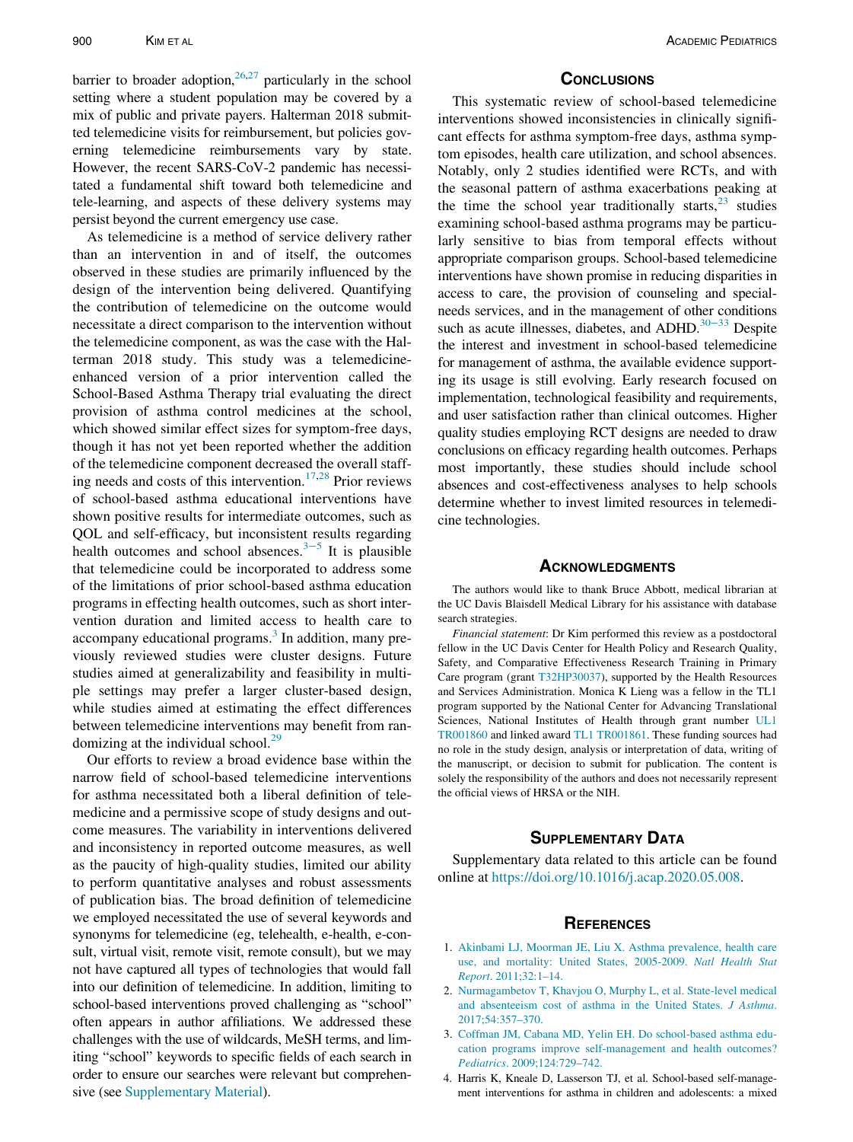barrier to broader adoption,  $26,27$  $26,27$  particularly in the school setting where a student population may be covered by a mix of public and private payers. Halterman 2018 submitted telemedicine visits for reimbursement, but policies governing telemedicine reimbursements vary by state. However, the recent SARS-CoV-2 pandemic has necessitated a fundamental shift toward both telemedicine and tele-learning, and aspects of these delivery systems may persist beyond the current emergency use case.

As telemedicine is a method of service delivery rather than an intervention in and of itself, the outcomes observed in these studies are primarily influenced by the design of the intervention being delivered. Quantifying the contribution of telemedicine on the outcome would necessitate a direct comparison to the intervention without the telemedicine component, as was the case with the Halterman 2018 study. This study was a telemedicineenhanced version of a prior intervention called the School-Based Asthma Therapy trial evaluating the direct provision of asthma control medicines at the school, which showed similar effect sizes for symptom-free days, though it has not yet been reported whether the addition of the telemedicine component decreased the overall staff-ing needs and costs of this intervention.<sup>[17,](#page-8-14)[28](#page-8-29)</sup> Prior reviews of school-based asthma educational interventions have shown positive results for intermediate outcomes, such as QOL and self-efficacy, but inconsistent results regarding health outcomes and school absences. $3-5$  It is plausible that telemedicine could be incorporated to address some of the limitations of prior school-based asthma education programs in effecting health outcomes, such as short intervention duration and limited access to health care to accompany educational programs.<sup>[3](#page-7-2)</sup> In addition, many previously reviewed studies were cluster designs. Future studies aimed at generalizability and feasibility in multiple settings may prefer a larger cluster-based design, while studies aimed at estimating the effect differences between telemedicine interventions may benefit from ran-domizing at the individual school.<sup>[29](#page-8-30)</sup>

<span id="page-7-5"></span><span id="page-7-4"></span><span id="page-7-3"></span><span id="page-7-2"></span><span id="page-7-1"></span><span id="page-7-0"></span>Our efforts to review a broad evidence base within the narrow field of school-based telemedicine interventions for asthma necessitated both a liberal definition of telemedicine and a permissive scope of study designs and outcome measures. The variability in interventions delivered and inconsistency in reported outcome measures, as well as the paucity of high-quality studies, limited our ability to perform quantitative analyses and robust assessments of publication bias. The broad definition of telemedicine we employed necessitated the use of several keywords and synonyms for telemedicine (eg, telehealth, e-health, e-consult, virtual visit, remote visit, remote consult), but we may not have captured all types of technologies that would fall into our definition of telemedicine. In addition, limiting to school-based interventions proved challenging as "school" often appears in author affiliations. We addressed these challenges with the use of wildcards, MeSH terms, and limiting "school" keywords to specific fields of each search in order to ensure our searches were relevant but comprehensive (see [Supplementary Material](#page-7-3)).

This systematic review of school-based telemedicine interventions showed inconsistencies in clinically significant effects for asthma symptom-free days, asthma symptom episodes, health care utilization, and school absences. Notably, only 2 studies identified were RCTs, and with the seasonal pattern of asthma exacerbations peaking at the time the school year traditionally starts, $23$  studies examining school-based asthma programs may be particularly sensitive to bias from temporal effects without appropriate comparison groups. School-based telemedicine interventions have shown promise in reducing disparities in access to care, the provision of counseling and specialneeds services, and in the management of other conditions such as acute illnesses, diabetes, and ADHD.<sup>30−33</sup> Despite the interest and investment in school-based telemedicine for management of asthma, the available evidence supporting its usage is still evolving. Early research focused on implementation, technological feasibility and requirements, and user satisfaction rather than clinical outcomes. Higher quality studies employing RCT designs are needed to draw conclusions on efficacy regarding health outcomes. Perhaps most importantly, these studies should include school absences and cost-effectiveness analyses to help schools determine whether to invest limited resources in telemedicine technologies.

The authors would like to thank Bruce Abbott, medical librarian at the UC Davis Blaisdell Medical Library for his assistance with database search strategies.

Financial statement: Dr Kim performed this review as a postdoctoral fellow in the UC Davis Center for Health Policy and Research Quality, Safety, and Comparative Effectiveness Research Training in Primary Care program (grant [T32HP30037](#page-7-4)), supported by the Health Resources and Services Administration. Monica K Lieng was a fellow in the TL1 program supported by the National Center for Advancing Translational Sciences, National Institutes of Health through grant number [UL1](#page-7-5) [TR001860](#page-7-5) and linked award [TL1 TR001861.](#page-7-5) These funding sources had no role in the study design, analysis or interpretation of data, writing of the manuscript, or decision to submit for publication. The content is solely the responsibility of the authors and does not necessarily represent the official views of HRSA or the NIH.

## **SUPPLEMENTARY DATA**

Supplementary data related to this article can be found online at [https://doi.org/10.1016/j.acap.2020.05.008.](https://doi.org/10.1016/j.acap.2020.05.008)

- 1. [Akinbami LJ, Moorman JE, Liu X. Asthma prevalence, health care](http://refhub.elsevier.com/S1876-2859(20)30186-8/sbref0001) [use, and mortality: United States, 2005-2009.](http://refhub.elsevier.com/S1876-2859(20)30186-8/sbref0001) Natl Health Stat Report[. 2011;32:1–14.](http://refhub.elsevier.com/S1876-2859(20)30186-8/sbref0001)
- 2. [Nurmagambetov T, Khavjou O, Murphy L, et al. State-level medical](http://refhub.elsevier.com/S1876-2859(20)30186-8/sbref0002) [and absenteeism cost of asthma in the United States.](http://refhub.elsevier.com/S1876-2859(20)30186-8/sbref0002) J Asthma. [2017;54:357–370.](http://refhub.elsevier.com/S1876-2859(20)30186-8/sbref0002)
- 3. [Coffman JM, Cabana MD, Yelin EH. Do school-based asthma edu](http://refhub.elsevier.com/S1876-2859(20)30186-8/sbref0003)[cation programs improve self-management and health outcomes?](http://refhub.elsevier.com/S1876-2859(20)30186-8/sbref0003) Pediatrics[. 2009;124:729–742.](http://refhub.elsevier.com/S1876-2859(20)30186-8/sbref0003)
- 4. Harris K, Kneale D, Lasserson TJ, et al. School-based self-management interventions for asthma in children and adolescents: a mixed